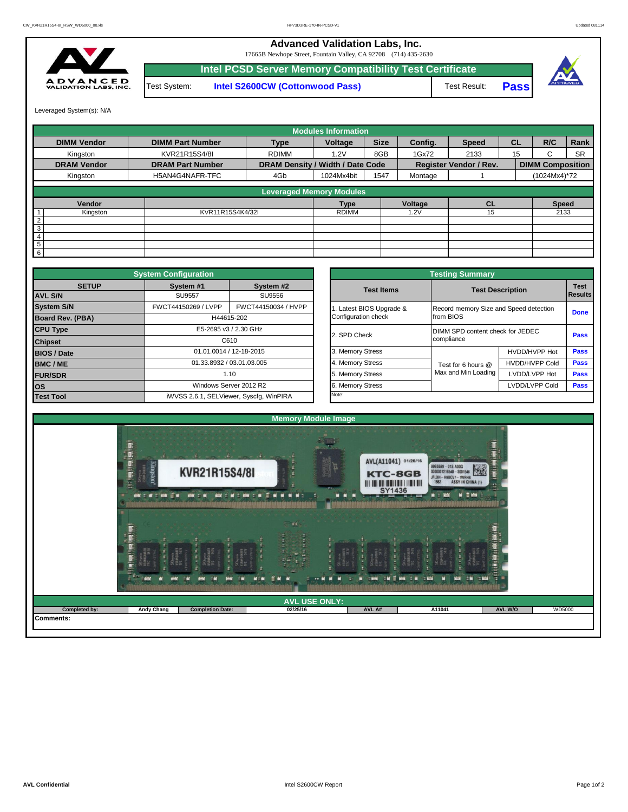**Advanced Validation Labs, Inc.** 

17665B Newhope Street, Fountain Valley, CA 92708 (714) 435-2630



**Intel PCSD Server Memory Compatibility Test Certificate** Test System: **Intel S2600CW (Cottonwood Pass)**





Leveraged System(s): N/A

|                    |                         |                                  | <b>Modules Information</b> |             |         |                               |           |                         |           |
|--------------------|-------------------------|----------------------------------|----------------------------|-------------|---------|-------------------------------|-----------|-------------------------|-----------|
| <b>DIMM Vendor</b> | <b>DIMM Part Number</b> | <b>Type</b>                      | Voltage                    | <b>Size</b> | Config. | <b>Speed</b>                  | <b>CL</b> | R/C                     | Rank      |
| Kingston           | KVR21R15S4/8I           | <b>RDIMM</b>                     | 1.2V                       | 8GB         | 1Gx72   | 2133                          | 15        | ٠.                      | <b>SR</b> |
| <b>DRAM Vendor</b> | <b>DRAM Part Number</b> | DRAM Density / Width / Date Code |                            |             |         | <b>Register Vendor / Rev.</b> |           | <b>DIMM Composition</b> |           |
| Kingston           | H5AN4G4NAFR-TFC         | 4Gb                              | 1024Mx4bit                 | 1547        | Montage |                               |           | (1024Mx4)*72            |           |
|                    |                         |                                  | Leveraged Memory Modules   |             |         |                               |           |                         |           |
|                    |                         |                                  |                            |             |         |                               |           |                         |           |
| Vendor             |                         |                                  | <b>Type</b>                |             | Voltage | <b>CL</b>                     |           | <b>Speed</b>            |           |
| Kingston           | KVR11R15S4K4/32I        |                                  | <b>RDIMM</b>               |             | .2V     | 15                            |           | 2133                    |           |
| $\overline{2}$     |                         |                                  |                            |             |         |                               |           |                         |           |
| 3                  |                         |                                  |                            |             |         |                               |           |                         |           |
| 4                  |                         |                                  |                            |             |         |                               |           |                         |           |
| 5                  |                         |                                  |                            |             |         |                               |           |                         |           |
| 6                  |                         |                                  |                            |             |         |                               |           |                         |           |

|                    | <b>System Configuration</b> |                                         |  |                                        | <b>Testing Summary</b>           |                         |             |  |  |
|--------------------|-----------------------------|-----------------------------------------|--|----------------------------------------|----------------------------------|-------------------------|-------------|--|--|
| <b>SETUP</b>       | System #1                   | System #2                               |  | <b>Test Items</b>                      |                                  | <b>Test Description</b> |             |  |  |
| <b>AVL S/N</b>     | <b>SU9557</b>               | SU9556                                  |  | Record memory Size and Speed detection |                                  | Results                 |             |  |  |
| <b>System S/N</b>  | FWCT44150269 / LVPP         | FWCT44150034 / HVPP                     |  | Latest BIOS Upgrade &                  |                                  |                         | <b>Done</b> |  |  |
| Board Rev. (PBA)   |                             | H44615-202                              |  | Configuration check                    | from BIOS                        |                         |             |  |  |
| <b>CPU Type</b>    | E5-2695 v3 / 2.30 GHz       |                                         |  | 2. SPD Check                           | DIMM SPD content check for JEDEC |                         |             |  |  |
| <b>Chipset</b>     | C610                        |                                         |  |                                        | compliance                       | Pass                    |             |  |  |
| <b>BIOS / Date</b> | 01.01.0014 / 12-18-2015     |                                         |  | 3. Memory Stress                       |                                  | HVDD/HVPP Hot           | <b>Pass</b> |  |  |
| <b>BMC/ME</b>      | 01.33.8932 / 03.01.03.005   |                                         |  | 4. Memory Stress                       | Test for 6 hours @               | <b>HVDD/HVPP Cold</b>   | <b>Pass</b> |  |  |
| <b>FUR/SDR</b>     |                             | 1.10                                    |  | 5. Memory Stress                       | Max and Min Loading              | LVDD/LVPP Hot           | Pass        |  |  |
| <b>los</b>         |                             | Windows Server 2012 R2                  |  | 6. Memory Stress                       |                                  | LVDD/LVPP Cold          | <b>Pass</b> |  |  |
| <b>Test Tool</b>   |                             | iWVSS 2.6.1, SELViewer, Syscfq, WinPIRA |  |                                        |                                  |                         |             |  |  |

|                                                 | <b>Testing Summary</b>                              |                       |                               |
|-------------------------------------------------|-----------------------------------------------------|-----------------------|-------------------------------|
| <b>Test Items</b>                               | <b>Test Description</b>                             |                       | <b>Test</b><br><b>Results</b> |
| 1. Latest BIOS Upgrade &<br>Configuration check | Record memory Size and Speed detection<br>from BIOS |                       | <b>Done</b>                   |
| 2. SPD Check                                    | DIMM SPD content check for JEDEC<br>compliance      |                       | Pass                          |
| 3. Memory Stress                                |                                                     | HVDD/HVPP Hot         | <b>Pass</b>                   |
| 4. Memory Stress                                | Test for 6 hours @                                  | <b>HVDD/HVPP Cold</b> | <b>Pass</b>                   |
| 5. Memory Stress                                | Max and Min Loading                                 | LVDD/LVPP Hot         | <b>Pass</b>                   |
| 6. Memory Stress                                |                                                     | LVDD/LVPP Cold        | Pass                          |
| Note:                                           |                                                     |                       |                               |